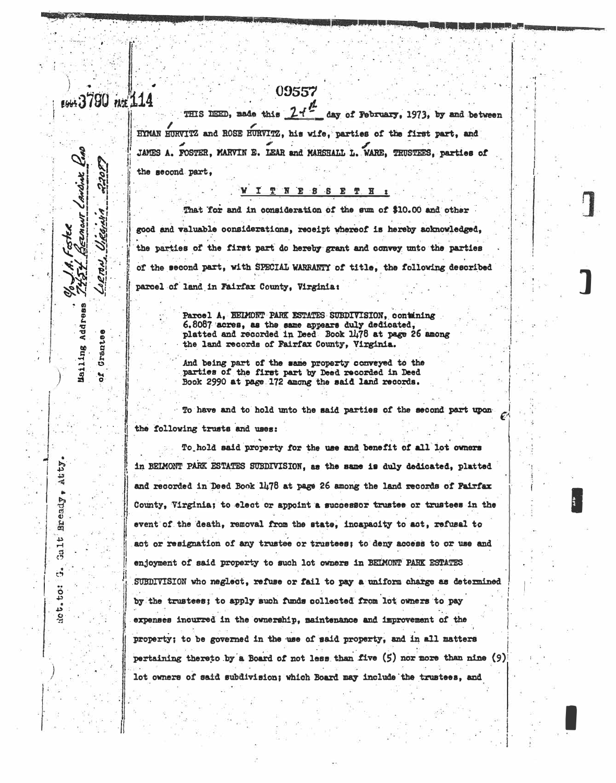## EGGS 3790 PACE 114

22085

erv

Grantse

ំង

EZMONT CANDINE

Mailing Address

Atty

Bready

بد

Gal

 $\frac{1}{\sqrt{2}}$ 

 $t - t$ <sup>o</sup>:

्रे

THIS DEED, nade this  $24$ <sup>2</sup> day of February, 1973, by and between HYMAN HURVITZ and ROSE HURVITZ, his wife, parties of the first part, and JAMES A. FOSTER, MARVIN E. LEAR and MARSHALL L. WARE, TRUSTEES, parties of the second part,

09557

## **WITNESSETH**

That for and in consideration of the sum of \$10.00 and other good and valuable considerations, receipt whereof is hereby acknowledged, the parties of the first part do hereby grant and convey unto the parties of the second part, with SPECIAL WARRANTY of title, the following described parcel of land in Fairfax County, Virginia:

> Parcel A. BELMONT PARK ESTATES SUBDIVISION, containing 6.8087 acres, as the same appears duly dedicated, platted and recorded in Deed Book 1478 at page 26 among the land records of Fairfax County, Virginia.

And being part of the same property conveyed to the parties of the first part by Deed recorded in Deed Book 2990 at page 172 among the said land records.

To have and to hold unto the said parties of the second part upon the following trusts and uses:

To hold said property for the use and benefit of all lot owners in BEIMONT PARK ESTATES SUBDIVISION, as the same is duly dedicated, platted and recorded in Deed Book 1478 at page 26 among the land records of Fairfar County, Virginia; to elect or appoint a successor trustee or trustees in the event of the death, removal from the state, incapacity to act, refusel to act or resignation of any trustee or trustees; to deny access to or use and enjoyment of said property to such lot owners in BEIMONT PARK ESTATES SUBDIVISION who neglect, refuse or fail to pay a uniform charge as determined by the trustees; to apply such funds collected from lot owners to pay expenses incurred in the ownership, maintenance and improvement of the property; to be governed in the use of said property, and in all matters pertaining thereto by a Board of not less than five  $(5)$  nor more than nine  $(9)$ lot owners of said subdivision; which Board may include the trustees, and